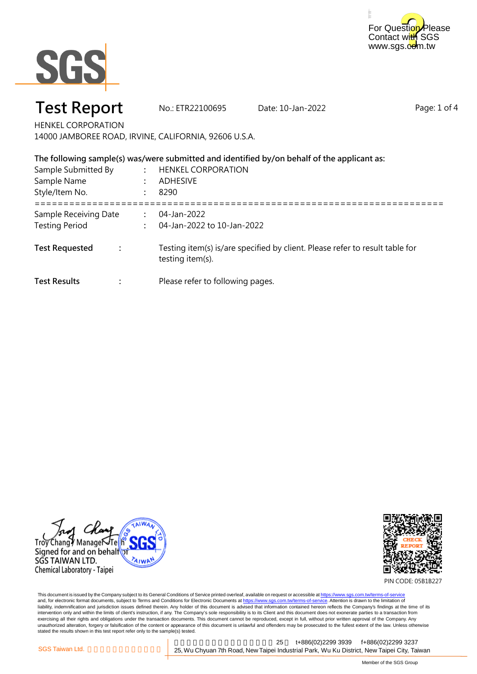



# **Test Report No.: ETR22100695 Date: 10-Jan-2022**

Page: 1 of 4

HENKEL CORPORATION 14000 JAMBOREE ROAD, IRVINE, CALIFORNIA, 92606 U.S.A.

| The following sample(s) was/were submitted and identified by/on behalf of the applicant as: |  |                                                                                                  |  |
|---------------------------------------------------------------------------------------------|--|--------------------------------------------------------------------------------------------------|--|
| Sample Submitted By<br>Sample Name<br>Style/Item No.                                        |  | <b>HENKEL CORPORATION</b><br><b>ADHESIVE</b><br>-8290                                            |  |
| Sample Receiving Date<br><b>Testing Period</b>                                              |  | 04-Jan-2022<br>04-Jan-2022 to 10-Jan-2022                                                        |  |
| <b>Test Requested</b>                                                                       |  | Testing item(s) is/are specified by client. Please refer to result table for<br>testing item(s). |  |
| <b>Test Results</b>                                                                         |  | Please refer to following pages.                                                                 |  |





PIN CODE: 05B1B227

This document is issued by the Company subject to its General Conditions of Service printed overleaf, available on request or accessible at <u>https://www.sgs.com.tw/terms-of-service</u><br>and, for electronic format documents, su liability, indemnification and jurisdiction issues defined therein. Any holder of this document is advised that information contained hereon reflects the Company's findings at the time of its intervention only and within the limits of client's instruction, if any. The Company's sole responsibility is to its Client and this document does not exonerate parties to a transaction from exercising all their rights and obligations under the transaction documents. This document cannot be reproduced, except in full, without prior written approval of the Company. Any<br>unauthorized alteration, forgery or falsif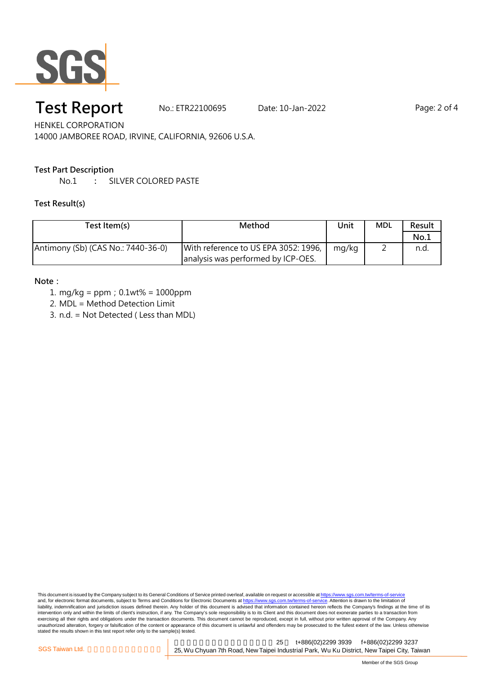

# **Test Report** Mo.: ETR22100695 Date: 10-Jan-2022 Page: 2 of 4

HENKEL CORPORATION 14000 JAMBOREE ROAD, IRVINE, CALIFORNIA, 92606 U.S.A.

#### **Test Part Description**

No.1 **:** SILVER COLORED PASTE

#### **Test Result(s)**

| Test Item(s)                       | Method                               | Unit  | <b>MDL</b> | Result |
|------------------------------------|--------------------------------------|-------|------------|--------|
|                                    |                                      |       |            | No.1   |
| Antimony (Sb) (CAS No.: 7440-36-0) | With reference to US EPA 3052: 1996, | mg/kg | -          | n.d.   |
|                                    | analysis was performed by ICP-OES.   |       |            |        |

#### **Note:**

- 1. mg/kg = ppm;0.1wt% = 1000ppm
- 2. MDL = Method Detection Limit
- 3. n.d. = Not Detected ( Less than MDL)

This document is issued by the Company subject to its General Conditions of Service printed overleaf, available on request or accessible at <u>https://www.sgs.com.tw/terms-of-service</u><br>and, for electronic format documents, su liability, indemnification and jurisdiction issues defined therein. Any holder of this document is advised that information contained hereon reflects the Company's findings at the time of its intervention only and within the limits of client's instruction, if any. The Company's sole responsibility is to its Client and this document does not exonerate parties to a transaction from exercising all their rights and obligations under the transaction documents. This document cannot be reproduced, except in full, without prior written approval of the Company. Any<br>unauthorized alteration, forgery or falsif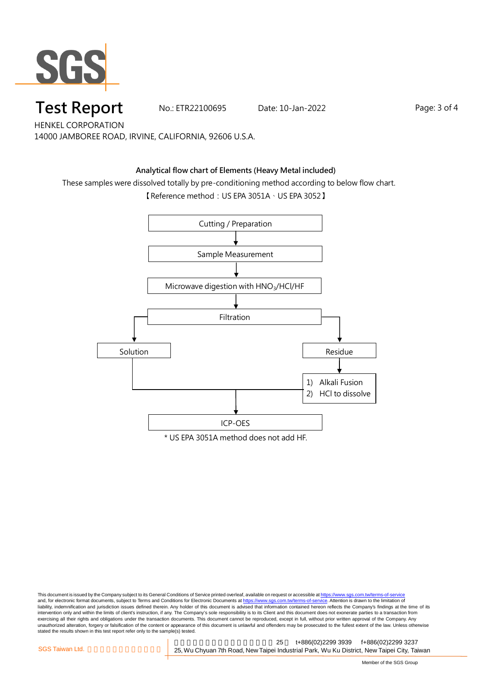

# **Test Report** Mo.: ETR22100695 Date: 10-Jan-2022 Page: 3 of 4

HENKEL CORPORATION 14000 JAMBOREE ROAD, IRVINE, CALIFORNIA, 92606 U.S.A.

#### **Analytical flow chart of Elements (Heavy Metal included)**

These samples were dissolved totally by pre-conditioning method according to below flow chart.

【Reference method: US EPA 3051A、US EPA 3052】



This document is issued by the Company subject to its General Conditions of Service printed overleaf, available on request or accessible at <u>https://www.sgs.com.tw/terms-of-service</u><br>and, for electronic format documents, su liability, indemnification and jurisdiction issues defined therein. Any holder of this document is advised that information contained hereon reflects the Company's findings at the time of its intervention only and within the limits of client's instruction, if any. The Company's sole responsibility is to its Client and this document does not exonerate parties to a transaction from exercising all their rights and obligations under the transaction documents. This document cannot be reproduced, except in full, without prior written approval of the Company. Any<br>unauthorized alteration, forgery or falsif